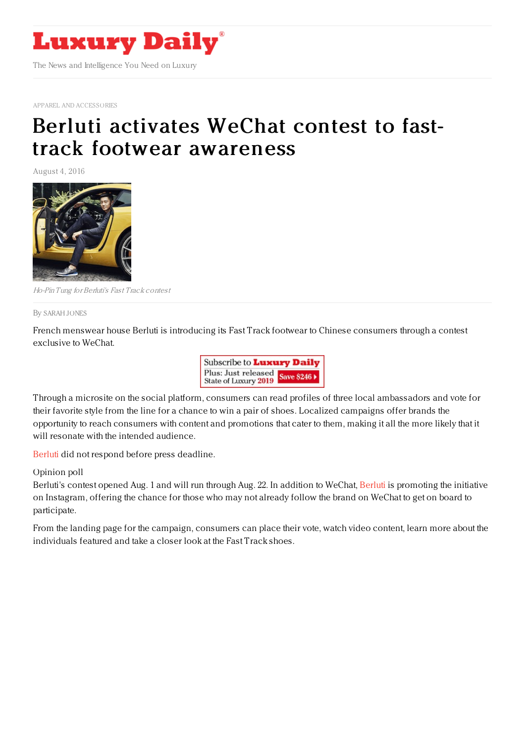

APPAREL AND [ACCESSORIES](https://www.luxurydaily.com/category/sectors/apparel-and-accessories/)

## Berluti activates WeChat contest to fasttrack footwear [awareness](https://www.luxurydaily.com/berluti-activates-wechat-contest-to-fast-track-footwear-awareness/)

August 4, 2016



Ho-Pin Tung for Berluti's Fast Track contest

By [SARAH](file:///author/sarah-jones) JONES

French menswear house Berluti is introducing its Fast Track footwear to Chinese consumers through a contest exclusive to WeChat.



Through a microsite on the social platform, consumers can read profiles of three local ambassadors and vote for their favorite style from the line for a chance to win a pair of shoes. Localized campaigns offer brands the opportunity to reach consumers with content and promotions that cater to them, making it all the more likely that it will resonate with the intended audience.

[Berluti](https://www.luxurydaily.com/?s=berluti) did not respond before press deadline.

## Opinion poll

Berluti's contest opened Aug. 1 and will run through Aug. 22. In addition to WeChat, [Berluti](http://berluti.fr) is promoting the initiative on Instagram, offering the chance for those who may not already follow the brand on WeChat to get on board to participate.

From the landing page for the campaign, consumers can place their vote, watch video content, learn more about the individuals featured and take a closer look at the Fast Track shoes.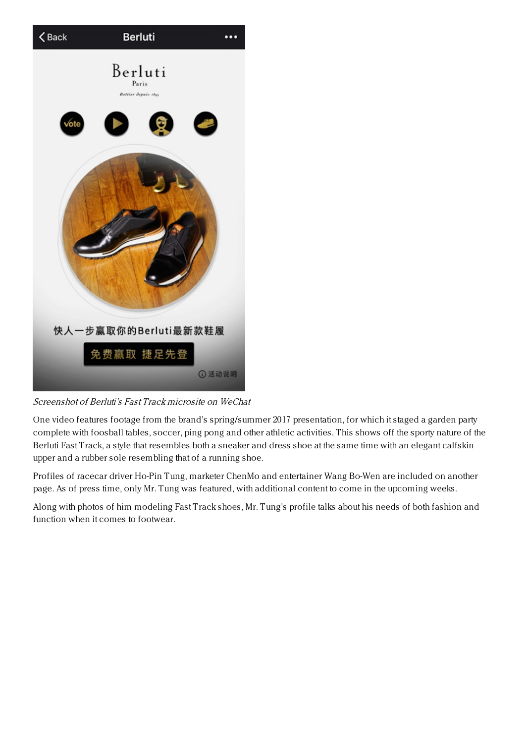

Screenshot of Berluti's Fast Track microsite on WeChat

One video features footage from the brand's spring/summer 2017 presentation, for which it staged a garden party complete with foosball tables, soccer, ping pong and other athletic activities. This shows off the sporty nature of the Berluti Fast Track, a style that resembles both a sneaker and dress shoe at the same time with an elegant calfskin upper and a rubber sole resembling that of a running shoe.

Profiles of racecar driver Ho-Pin Tung, marketer ChenMo and entertainer Wang Bo-Wen are included on another page. As of press time, only Mr. Tung was featured, with additional content to come in the upcoming weeks.

Along with photos of him modeling Fast Track shoes, Mr. Tung's profile talks about his needs of both fashion and function when it comes to footwear.